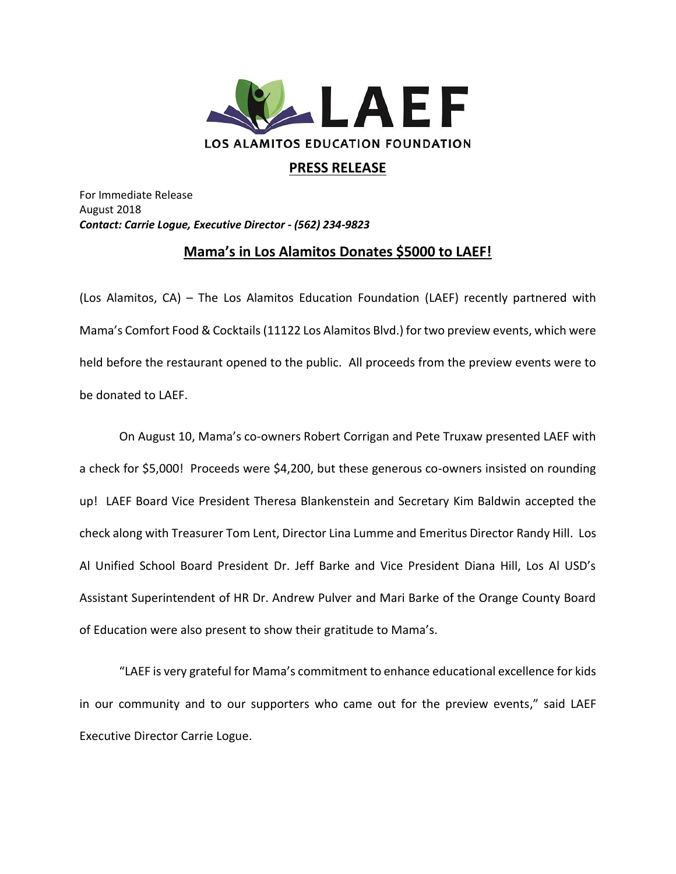

## **PRESS RELEASE**

For Immediate Release August 2018 *Contact: Carrie Logue, Executive Director - (562) 234-9823*

## **Mama's in Los Alamitos Donates \$5000 to LAEF!**

(Los Alamitos, CA) – The Los Alamitos Education Foundation (LAEF) recently partnered with Mama's Comfort Food & Cocktails (11122 Los Alamitos Blvd.) for two preview events, which were held before the restaurant opened to the public. All proceeds from the preview events were to be donated to LAEF.

On August 10, Mama's co-owners Robert Corrigan and Pete Truxaw presented LAEF with a check for \$5,000! Proceeds were \$4,200, but these generous co-owners insisted on rounding up! LAEF Board Vice President Theresa Blankenstein and Secretary Kim Baldwin accepted the check along with Treasurer Tom Lent, Director Lina Lumme and Emeritus Director Randy Hill. Los Al Unified School Board President Dr. Jeff Barke and Vice President Diana Hill, Los Al USD's Assistant Superintendent of HR Dr. Andrew Pulver and Mari Barke of the Orange County Board of Education were also present to show their gratitude to Mama's.

"LAEF is very grateful for Mama's commitment to enhance educational excellence for kids in our community and to our supporters who came out for the preview events," said LAEF Executive Director Carrie Logue.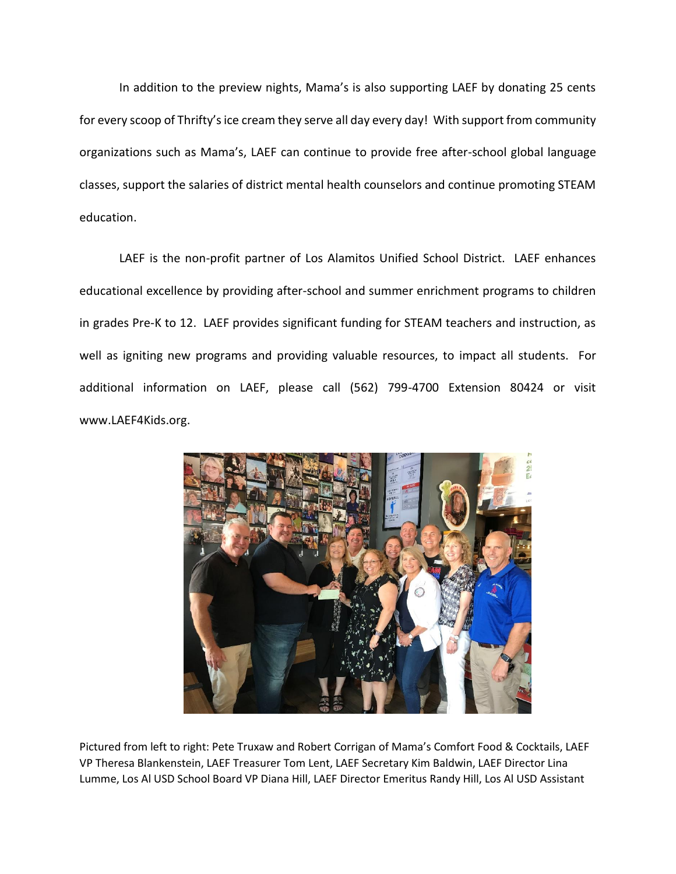In addition to the preview nights, Mama's is also supporting LAEF by donating 25 cents for every scoop of Thrifty's ice cream they serve all day every day! With support from community organizations such as Mama's, LAEF can continue to provide free after-school global language classes, support the salaries of district mental health counselors and continue promoting STEAM education.

LAEF is the non-profit partner of Los Alamitos Unified School District. LAEF enhances educational excellence by providing after-school and summer enrichment programs to children in grades Pre-K to 12. LAEF provides significant funding for STEAM teachers and instruction, as well as igniting new programs and providing valuable resources, to impact all students. For additional information on LAEF, please call (562) 799-4700 Extension 80424 or visit www.LAEF4Kids.org.



Pictured from left to right: Pete Truxaw and Robert Corrigan of Mama's Comfort Food & Cocktails, LAEF VP Theresa Blankenstein, LAEF Treasurer Tom Lent, LAEF Secretary Kim Baldwin, LAEF Director Lina Lumme, Los Al USD School Board VP Diana Hill, LAEF Director Emeritus Randy Hill, Los Al USD Assistant